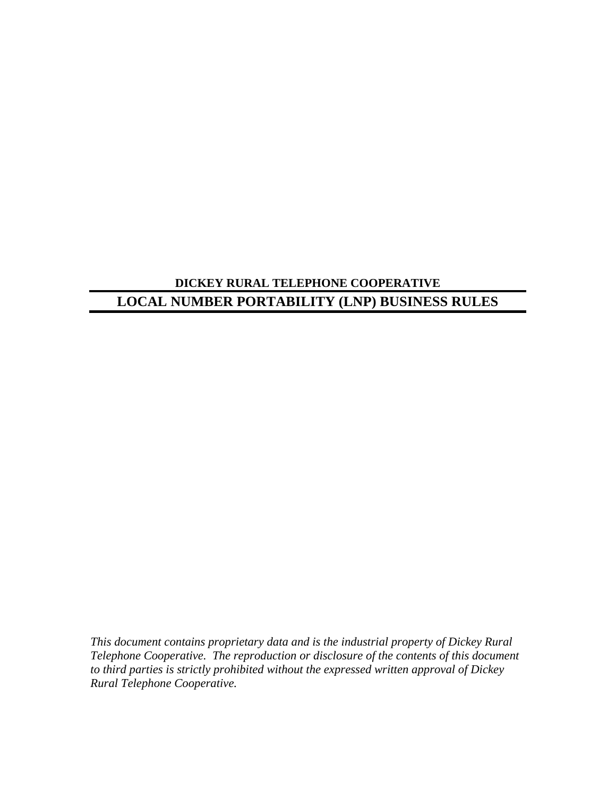# **DICKEY RURAL TELEPHONE COOPERATIVE LOCAL NUMBER PORTABILITY (LNP) BUSINESS RULES**

*This document contains proprietary data and is the industrial property of Dickey Rural Telephone Cooperative. The reproduction or disclosure of the contents of this document to third parties is strictly prohibited without the expressed written approval of Dickey Rural Telephone Cooperative.*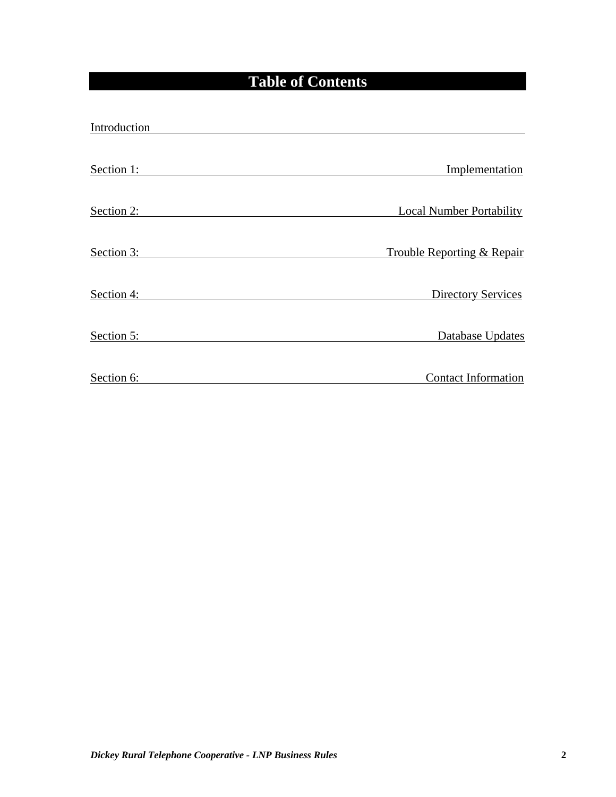# **Table of Contents**

| Introduction |                                 |
|--------------|---------------------------------|
| Section 1:   | Implementation                  |
| Section 2:   | <b>Local Number Portability</b> |
| Section 3:   | Trouble Reporting & Repair      |
| Section 4:   | <b>Directory Services</b>       |
| Section 5:   | Database Updates                |
| Section 6:   | <b>Contact Information</b>      |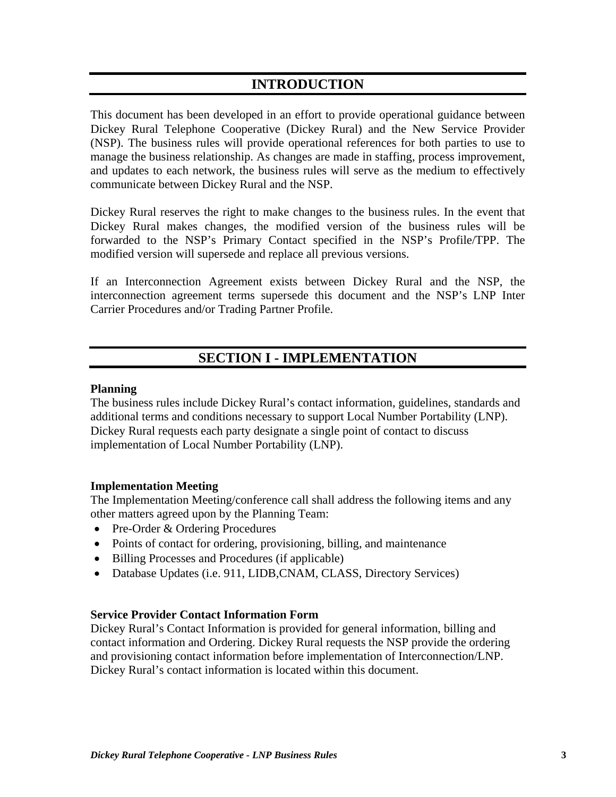# **INTRODUCTION**

This document has been developed in an effort to provide operational guidance between Dickey Rural Telephone Cooperative (Dickey Rural) and the New Service Provider (NSP). The business rules will provide operational references for both parties to use to manage the business relationship. As changes are made in staffing, process improvement, and updates to each network, the business rules will serve as the medium to effectively communicate between Dickey Rural and the NSP.

Dickey Rural reserves the right to make changes to the business rules. In the event that Dickey Rural makes changes, the modified version of the business rules will be forwarded to the NSP's Primary Contact specified in the NSP's Profile/TPP. The modified version will supersede and replace all previous versions.

If an Interconnection Agreement exists between Dickey Rural and the NSP, the interconnection agreement terms supersede this document and the NSP's LNP Inter Carrier Procedures and/or Trading Partner Profile.

# **SECTION I - IMPLEMENTATION**

### **Planning**

The business rules include Dickey Rural's contact information, guidelines, standards and additional terms and conditions necessary to support Local Number Portability (LNP). Dickey Rural requests each party designate a single point of contact to discuss implementation of Local Number Portability (LNP).

### **Implementation Meeting**

The Implementation Meeting/conference call shall address the following items and any other matters agreed upon by the Planning Team:

- Pre-Order & Ordering Procedures
- Points of contact for ordering, provisioning, billing, and maintenance
- Billing Processes and Procedures (if applicable)
- Database Updates (i.e. 911, LIDB,CNAM, CLASS, Directory Services)

### **Service Provider Contact Information Form**

Dickey Rural's Contact Information is provided for general information, billing and contact information and Ordering. Dickey Rural requests the NSP provide the ordering and provisioning contact information before implementation of Interconnection/LNP. Dickey Rural's contact information is located within this document.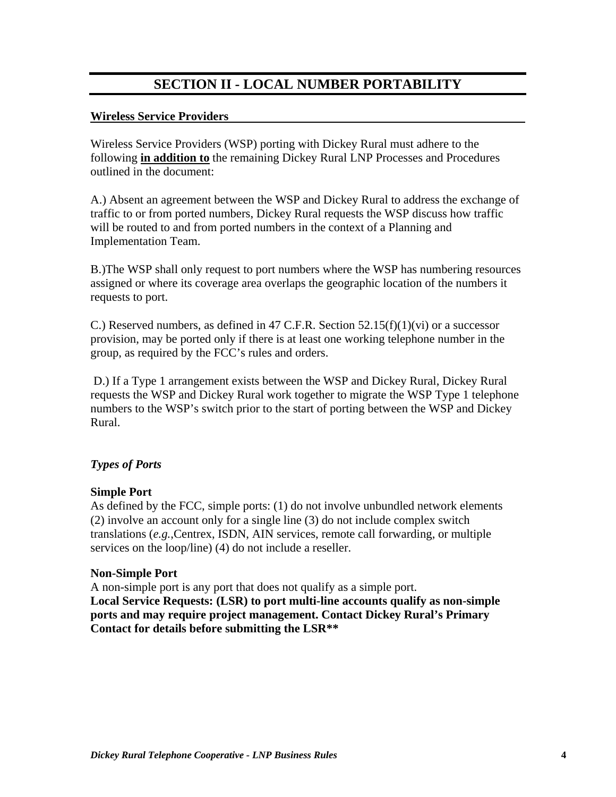# **SECTION II - LOCAL NUMBER PORTABILITY**

#### **Wireless Service Providers**

Wireless Service Providers (WSP) porting with Dickey Rural must adhere to the following **in addition to** the remaining Dickey Rural LNP Processes and Procedures outlined in the document:

A.) Absent an agreement between the WSP and Dickey Rural to address the exchange of traffic to or from ported numbers, Dickey Rural requests the WSP discuss how traffic will be routed to and from ported numbers in the context of a Planning and Implementation Team.

B.)The WSP shall only request to port numbers where the WSP has numbering resources assigned or where its coverage area overlaps the geographic location of the numbers it requests to port.

C.) Reserved numbers, as defined in 47 C.F.R. Section  $52.15(f)(1)(vi)$  or a successor provision, may be ported only if there is at least one working telephone number in the group, as required by the FCC's rules and orders.

 D.) If a Type 1 arrangement exists between the WSP and Dickey Rural, Dickey Rural requests the WSP and Dickey Rural work together to migrate the WSP Type 1 telephone numbers to the WSP's switch prior to the start of porting between the WSP and Dickey Rural.

### *Types of Ports*

#### **Simple Port**

As defined by the FCC, simple ports: (1) do not involve unbundled network elements (2) involve an account only for a single line (3) do not include complex switch translations (*e.g.*,Centrex, ISDN, AIN services, remote call forwarding, or multiple services on the loop/line) (4) do not include a reseller.

#### **Non-Simple Port**

A non-simple port is any port that does not qualify as a simple port. **Local Service Requests: (LSR) to port multi-line accounts qualify as non-simple ports and may require project management. Contact Dickey Rural's Primary Contact for details before submitting the LSR\*\***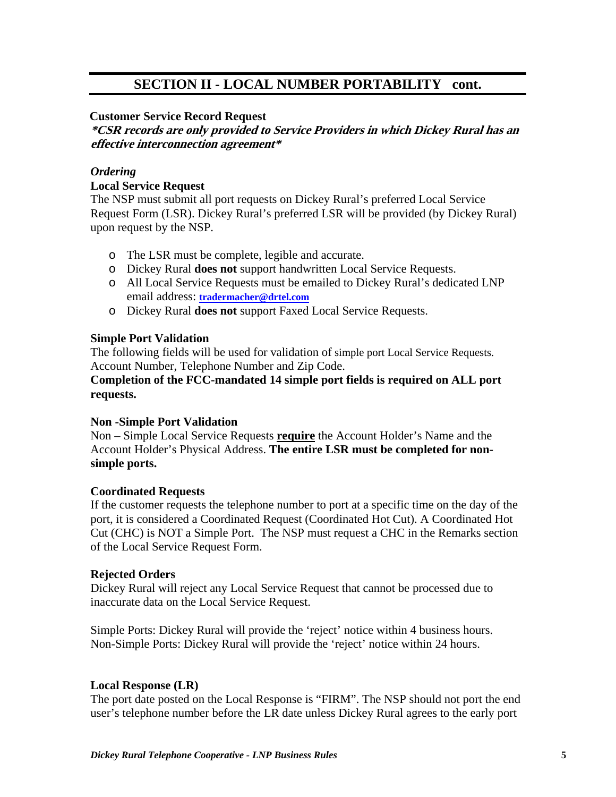# **SECTION II - LOCAL NUMBER PORTABILITY cont.**

### **Customer Service Record Request**

**\*CSR records are only provided to Service Providers in which Dickey Rural has an effective interconnection agreement\***

# *Ordering*  **Local Service Request**

The NSP must submit all port requests on Dickey Rural's preferred Local Service Request Form (LSR). Dickey Rural's preferred LSR will be provided (by Dickey Rural) upon request by the NSP.

- o The LSR must be complete, legible and accurate.
- o Dickey Rural **does not** support handwritten Local Service Requests.
- o All Local Service Requests must be emailed to Dickey Rural's dedicated LNP email address: **tradermacher@drtel.com**
- o Dickey Rural **does not** support Faxed Local Service Requests.

### **Simple Port Validation**

The following fields will be used for validation of simple port Local Service Requests. Account Number, Telephone Number and Zip Code.

### **Completion of the FCC-mandated 14 simple port fields is required on ALL port requests.**

## **Non -Simple Port Validation**

Non – Simple Local Service Requests **require** the Account Holder's Name and the Account Holder's Physical Address. **The entire LSR must be completed for nonsimple ports.** 

### **Coordinated Requests**

If the customer requests the telephone number to port at a specific time on the day of the port, it is considered a Coordinated Request (Coordinated Hot Cut). A Coordinated Hot Cut (CHC) is NOT a Simple Port. The NSP must request a CHC in the Remarks section of the Local Service Request Form.

### **Rejected Orders**

Dickey Rural will reject any Local Service Request that cannot be processed due to inaccurate data on the Local Service Request.

Simple Ports: Dickey Rural will provide the 'reject' notice within 4 business hours. Non-Simple Ports: Dickey Rural will provide the 'reject' notice within 24 hours.

### **Local Response (LR)**

The port date posted on the Local Response is "FIRM". The NSP should not port the end user's telephone number before the LR date unless Dickey Rural agrees to the early port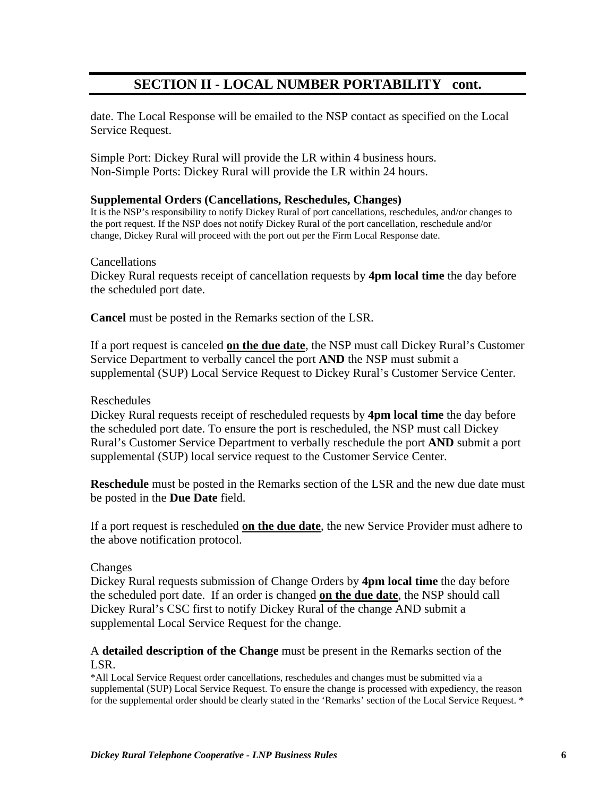# **SECTION II - LOCAL NUMBER PORTABILITY cont.**

date. The Local Response will be emailed to the NSP contact as specified on the Local Service Request.

Simple Port: Dickey Rural will provide the LR within 4 business hours. Non-Simple Ports: Dickey Rural will provide the LR within 24 hours.

### **Supplemental Orders (Cancellations, Reschedules, Changes)**

It is the NSP's responsibility to notify Dickey Rural of port cancellations, reschedules, and/or changes to the port request. If the NSP does not notify Dickey Rural of the port cancellation, reschedule and/or change, Dickey Rural will proceed with the port out per the Firm Local Response date.

#### Cancellations

Dickey Rural requests receipt of cancellation requests by **4pm local time** the day before the scheduled port date.

**Cancel** must be posted in the Remarks section of the LSR.

If a port request is canceled **on the due date**, the NSP must call Dickey Rural's Customer Service Department to verbally cancel the port **AND** the NSP must submit a supplemental (SUP) Local Service Request to Dickey Rural's Customer Service Center.

#### Reschedules

Dickey Rural requests receipt of rescheduled requests by **4pm local time** the day before the scheduled port date. To ensure the port is rescheduled, the NSP must call Dickey Rural's Customer Service Department to verbally reschedule the port **AND** submit a port supplemental (SUP) local service request to the Customer Service Center.

**Reschedule** must be posted in the Remarks section of the LSR and the new due date must be posted in the **Due Date** field.

If a port request is rescheduled **on the due date**, the new Service Provider must adhere to the above notification protocol.

### Changes

Dickey Rural requests submission of Change Orders by **4pm local time** the day before the scheduled port date. If an order is changed **on the due date**, the NSP should call Dickey Rural's CSC first to notify Dickey Rural of the change AND submit a supplemental Local Service Request for the change.

### A **detailed description of the Change** must be present in the Remarks section of the LSR.

\*All Local Service Request order cancellations, reschedules and changes must be submitted via a supplemental (SUP) Local Service Request. To ensure the change is processed with expediency, the reason for the supplemental order should be clearly stated in the 'Remarks' section of the Local Service Request. \*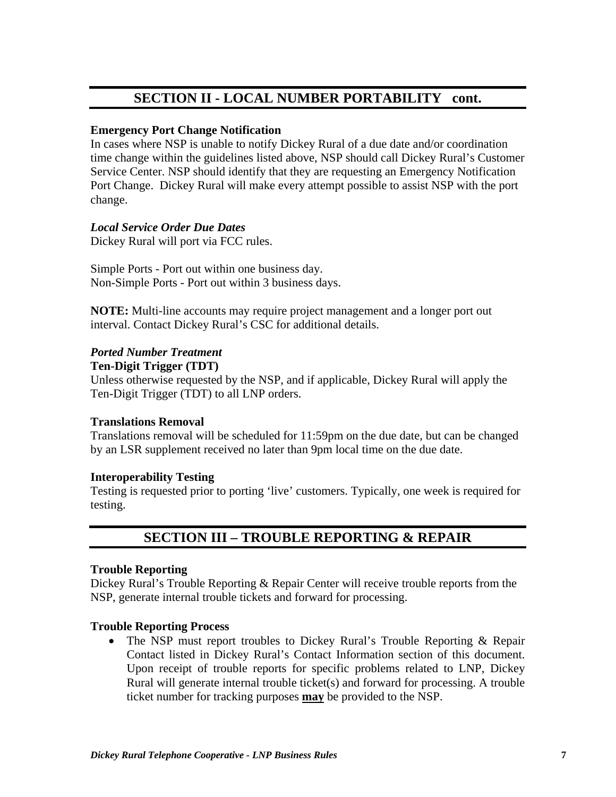# **SECTION II - LOCAL NUMBER PORTABILITY cont.**

### **Emergency Port Change Notification**

In cases where NSP is unable to notify Dickey Rural of a due date and/or coordination time change within the guidelines listed above, NSP should call Dickey Rural's Customer Service Center. NSP should identify that they are requesting an Emergency Notification Port Change. Dickey Rural will make every attempt possible to assist NSP with the port change.

### *Local Service Order Due Dates*

Dickey Rural will port via FCC rules.

Simple Ports - Port out within one business day. Non-Simple Ports - Port out within 3 business days.

**NOTE:** Multi-line accounts may require project management and a longer port out interval. Contact Dickey Rural's CSC for additional details.

### *Ported Number Treatment*

#### **Ten-Digit Trigger (TDT)**

Unless otherwise requested by the NSP, and if applicable, Dickey Rural will apply the Ten-Digit Trigger (TDT) to all LNP orders.

#### **Translations Removal**

Translations removal will be scheduled for 11:59pm on the due date, but can be changed by an LSR supplement received no later than 9pm local time on the due date.

### **Interoperability Testing**

Testing is requested prior to porting 'live' customers. Typically, one week is required for testing.

# **SECTION III – TROUBLE REPORTING & REPAIR**

#### **Trouble Reporting**

Dickey Rural's Trouble Reporting & Repair Center will receive trouble reports from the NSP, generate internal trouble tickets and forward for processing.

### **Trouble Reporting Process**

• The NSP must report troubles to Dickey Rural's Trouble Reporting & Repair Contact listed in Dickey Rural's Contact Information section of this document. Upon receipt of trouble reports for specific problems related to LNP, Dickey Rural will generate internal trouble ticket(s) and forward for processing. A trouble ticket number for tracking purposes **may** be provided to the NSP.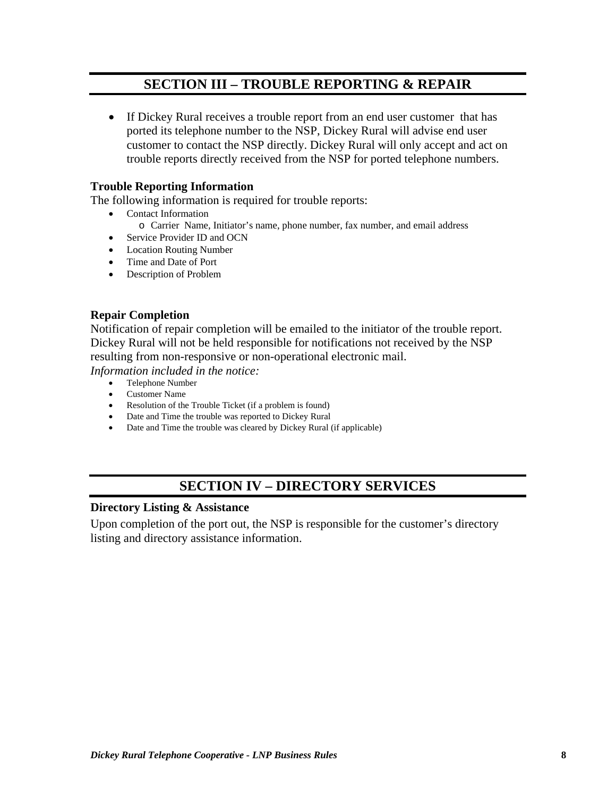# **SECTION III – TROUBLE REPORTING & REPAIR**

• If Dickey Rural receives a trouble report from an end user customer that has ported its telephone number to the NSP, Dickey Rural will advise end user customer to contact the NSP directly. Dickey Rural will only accept and act on trouble reports directly received from the NSP for ported telephone numbers.

### **Trouble Reporting Information**

The following information is required for trouble reports:

- Contact Information
	- o Carrier Name, Initiator's name, phone number, fax number, and email address
- Service Provider ID and OCN
- Location Routing Number
- Time and Date of Port
- Description of Problem

#### **Repair Completion**

Notification of repair completion will be emailed to the initiator of the trouble report. Dickey Rural will not be held responsible for notifications not received by the NSP resulting from non-responsive or non-operational electronic mail.

*Information included in the notice:* 

- Telephone Number
- Customer Name
- Resolution of the Trouble Ticket (if a problem is found)
- Date and Time the trouble was reported to Dickey Rural
- Date and Time the trouble was cleared by Dickey Rural (if applicable)

# **SECTION IV – DIRECTORY SERVICES**

#### **Directory Listing & Assistance**

Upon completion of the port out, the NSP is responsible for the customer's directory listing and directory assistance information.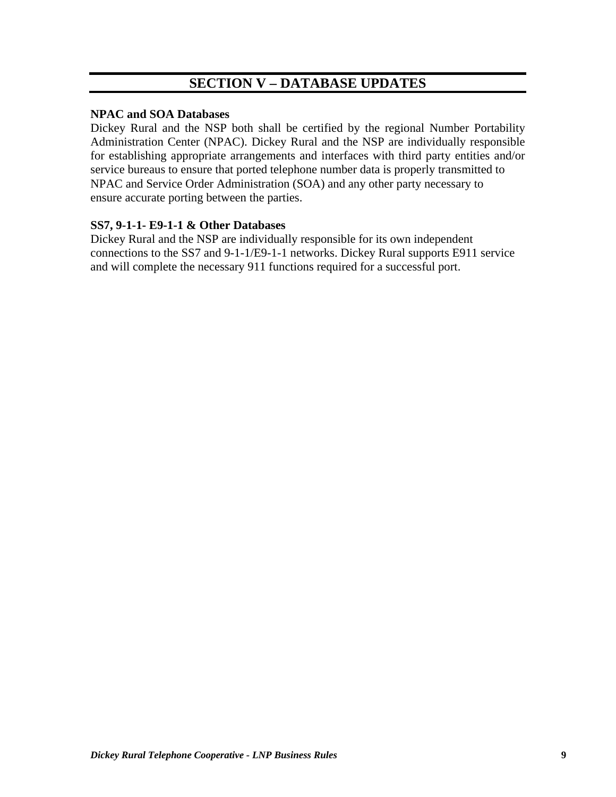# **SECTION V – DATABASE UPDATES**

### **NPAC and SOA Databases**

Dickey Rural and the NSP both shall be certified by the regional Number Portability Administration Center (NPAC). Dickey Rural and the NSP are individually responsible for establishing appropriate arrangements and interfaces with third party entities and/or service bureaus to ensure that ported telephone number data is properly transmitted to NPAC and Service Order Administration (SOA) and any other party necessary to ensure accurate porting between the parties.

### **SS7, 9-1-1- E9-1-1 & Other Databases**

Dickey Rural and the NSP are individually responsible for its own independent connections to the SS7 and 9-1-1/E9-1-1 networks. Dickey Rural supports E911 service and will complete the necessary 911 functions required for a successful port.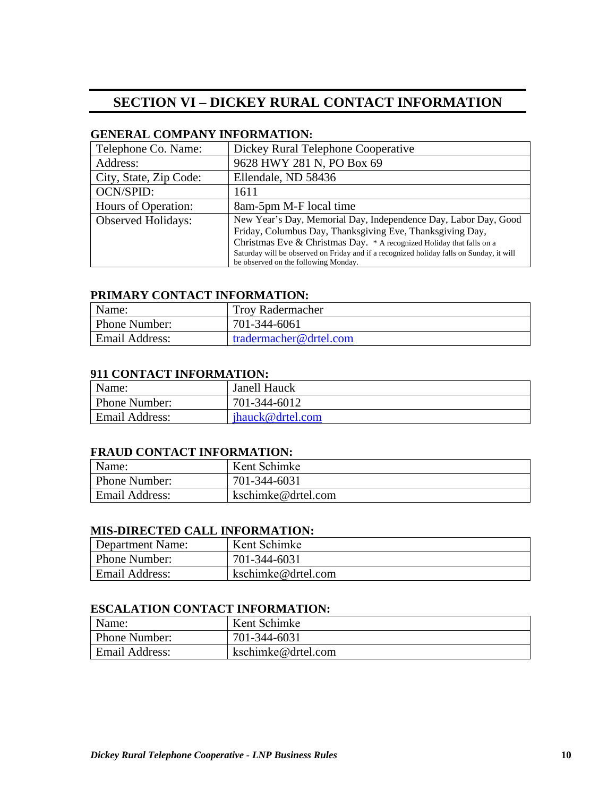# **SECTION VI – DICKEY RURAL CONTACT INFORMATION**

#### **GENERAL COMPANY INFORMATION:**

| Telephone Co. Name:       | Dickey Rural Telephone Cooperative                                                                                               |
|---------------------------|----------------------------------------------------------------------------------------------------------------------------------|
| Address:                  | 9628 HWY 281 N, PO Box 69                                                                                                        |
| City, State, Zip Code:    | Ellendale, ND 58436                                                                                                              |
| <b>OCN/SPID:</b>          | 1611                                                                                                                             |
| Hours of Operation:       | 8am-5pm M-F local time                                                                                                           |
| <b>Observed Holidays:</b> | New Year's Day, Memorial Day, Independence Day, Labor Day, Good<br>Friday, Columbus Day, Thanksgiving Eve, Thanksgiving Day,     |
|                           | Christmas Eve & Christmas Day. * A recognized Holiday that falls on a                                                            |
|                           |                                                                                                                                  |
|                           | Saturday will be observed on Friday and if a recognized holiday falls on Sunday, it will<br>be observed on the following Monday. |

#### **PRIMARY CONTACT INFORMATION:**

| Name:                 | <b>Troy Radermacher</b> |
|-----------------------|-------------------------|
| Phone Number:         | 701-344-6061            |
| <b>Email Address:</b> | tradermacher@drtel.com  |

#### **911 CONTACT INFORMATION:**

| Name:                 | Janell Hauck     |
|-----------------------|------------------|
| Phone Number:         | 701-344-6012     |
| <b>Email Address:</b> | ihauck@drtel.com |

### **FRAUD CONTACT INFORMATION:**

| Name:                | Kent Schimke       |
|----------------------|--------------------|
| <b>Phone Number:</b> | 701-344-6031       |
| Email Address:       | kschimke@drtel.com |

#### **MIS-DIRECTED CALL INFORMATION:**

| Department Name: | Kent Schimke       |
|------------------|--------------------|
| Phone Number:    | 701-344-6031       |
| Email Address:   | kschimke@drtel.com |

#### **ESCALATION CONTACT INFORMATION:**

| Name:          | Kent Schimke       |
|----------------|--------------------|
| Phone Number:  | 701-344-6031       |
| Email Address: | kschimke@drtel.com |